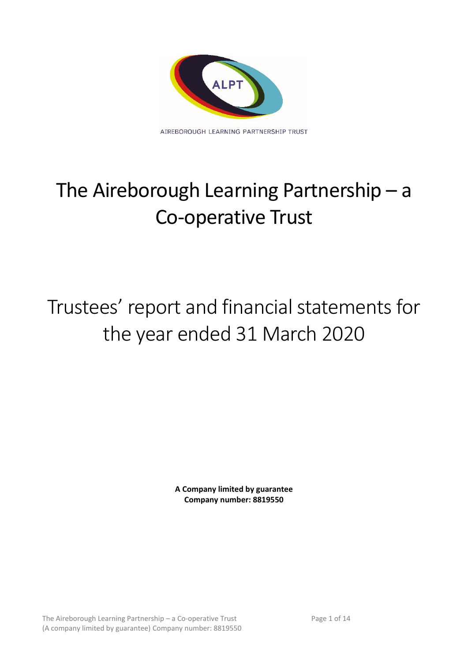

# The Aireborough Learning Partnership – a Co-operative Trust

# Trustees' report and financial statements for the year ended 31 March 2020

**A Company limited by guarantee Company number: 8819550**

The Aireborough Learning Partnership – a Co-operative Trust Page 1 of 14 (A company limited by guarantee) Company number: 8819550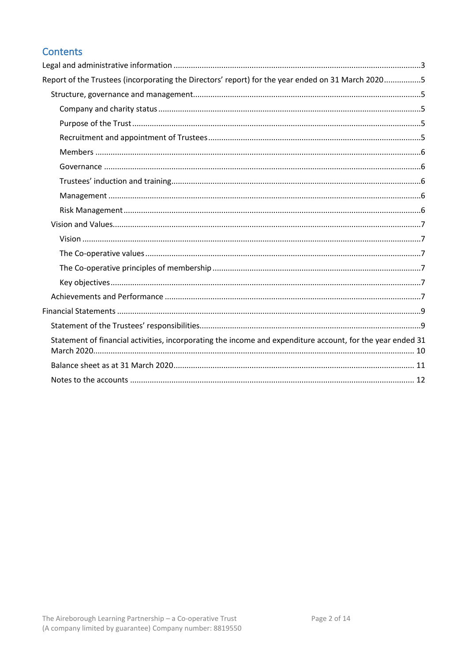# Contents

| Report of the Trustees (incorporating the Directors' report) for the year ended on 31 March 20205          |  |
|------------------------------------------------------------------------------------------------------------|--|
|                                                                                                            |  |
|                                                                                                            |  |
|                                                                                                            |  |
|                                                                                                            |  |
|                                                                                                            |  |
|                                                                                                            |  |
|                                                                                                            |  |
|                                                                                                            |  |
|                                                                                                            |  |
|                                                                                                            |  |
|                                                                                                            |  |
|                                                                                                            |  |
|                                                                                                            |  |
|                                                                                                            |  |
|                                                                                                            |  |
|                                                                                                            |  |
|                                                                                                            |  |
| Statement of financial activities, incorporating the income and expenditure account, for the year ended 31 |  |
|                                                                                                            |  |
|                                                                                                            |  |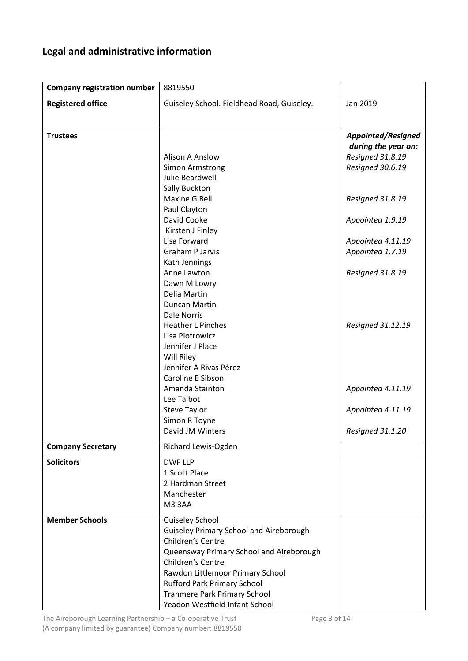# <span id="page-2-0"></span>**Legal and administrative information**

| <b>Company registration number</b> | 8819550                                        |                                                  |
|------------------------------------|------------------------------------------------|--------------------------------------------------|
| <b>Registered office</b>           | Guiseley School. Fieldhead Road, Guiseley.     | Jan 2019                                         |
|                                    |                                                |                                                  |
|                                    |                                                |                                                  |
| <b>Trustees</b>                    |                                                | <b>Appointed/Resigned</b><br>during the year on: |
|                                    | <b>Alison A Anslow</b>                         | Resigned 31.8.19                                 |
|                                    | <b>Simon Armstrong</b>                         | Resigned 30.6.19                                 |
|                                    | Julie Beardwell                                |                                                  |
|                                    | Sally Buckton                                  |                                                  |
|                                    | Maxine G Bell                                  | Resigned 31.8.19                                 |
|                                    | Paul Clayton                                   |                                                  |
|                                    | David Cooke                                    | Appointed 1.9.19                                 |
|                                    | Kirsten J Finley                               |                                                  |
|                                    | Lisa Forward                                   | Appointed 4.11.19                                |
|                                    | Graham P Jarvis                                | Appointed 1.7.19                                 |
|                                    | Kath Jennings                                  |                                                  |
|                                    | Anne Lawton                                    | Resigned 31.8.19                                 |
|                                    | Dawn M Lowry                                   |                                                  |
|                                    | Delia Martin                                   |                                                  |
|                                    | Duncan Martin                                  |                                                  |
|                                    | <b>Dale Norris</b><br><b>Heather L Pinches</b> |                                                  |
|                                    | Lisa Piotrowicz                                | Resigned 31.12.19                                |
|                                    | Jennifer J Place                               |                                                  |
|                                    | Will Riley                                     |                                                  |
|                                    | Jennifer A Rivas Pérez                         |                                                  |
|                                    | Caroline E Sibson                              |                                                  |
|                                    | Amanda Stainton                                | Appointed 4.11.19                                |
|                                    | Lee Talbot                                     |                                                  |
|                                    | <b>Steve Taylor</b>                            | Appointed 4.11.19                                |
|                                    | Simon R Toyne                                  |                                                  |
|                                    | David JM Winters                               | Resigned 31.1.20                                 |
| <b>Company Secretary</b>           | Richard Lewis-Ogden                            |                                                  |
| <b>Solicitors</b>                  | <b>DWF LLP</b>                                 |                                                  |
|                                    | 1 Scott Place                                  |                                                  |
|                                    | 2 Hardman Street                               |                                                  |
|                                    | Manchester                                     |                                                  |
|                                    | M33AA                                          |                                                  |
| <b>Member Schools</b>              | <b>Guiseley School</b>                         |                                                  |
|                                    | <b>Guiseley Primary School and Aireborough</b> |                                                  |
|                                    | Children's Centre                              |                                                  |
|                                    | Queensway Primary School and Aireborough       |                                                  |
|                                    | Children's Centre                              |                                                  |
|                                    | Rawdon Littlemoor Primary School               |                                                  |
|                                    | <b>Rufford Park Primary School</b>             |                                                  |
|                                    | <b>Tranmere Park Primary School</b>            |                                                  |
|                                    | Yeadon Westfield Infant School                 |                                                  |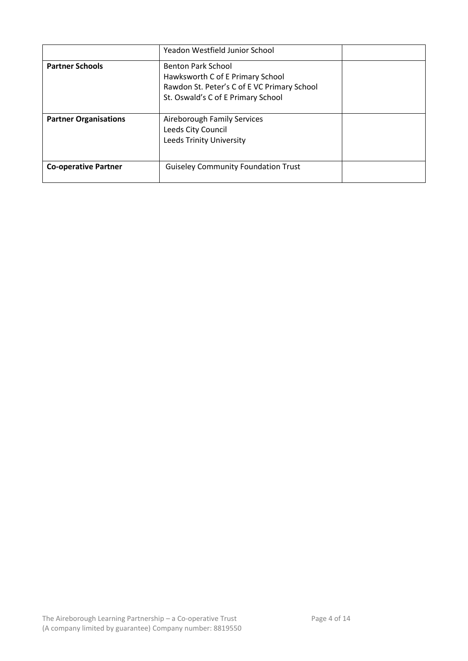|                              | Yeadon Westfield Junior School                                                                                                                     |  |
|------------------------------|----------------------------------------------------------------------------------------------------------------------------------------------------|--|
| <b>Partner Schools</b>       | <b>Benton Park School</b><br>Hawksworth C of E Primary School<br>Rawdon St. Peter's C of E VC Primary School<br>St. Oswald's C of E Primary School |  |
| <b>Partner Organisations</b> | Aireborough Family Services<br>Leeds City Council<br><b>Leeds Trinity University</b>                                                               |  |
| <b>Co-operative Partner</b>  | <b>Guiseley Community Foundation Trust</b>                                                                                                         |  |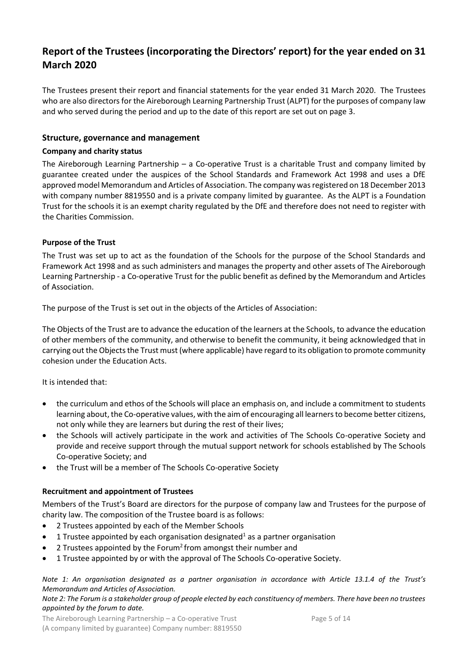## <span id="page-4-0"></span>**Report of the Trustees (incorporating the Directors' report) for the year ended on 31 March 2020**

The Trustees present their report and financial statements for the year ended 31 March 2020. The Trustees who are also directors for the Aireborough Learning Partnership Trust (ALPT) for the purposes of company law and who served during the period and up to the date of this report are set out on page 3.

#### <span id="page-4-1"></span>**Structure, governance and management**

#### <span id="page-4-2"></span>**Company and charity status**

The Aireborough Learning Partnership – a Co-operative Trust is a charitable Trust and company limited by guarantee created under the auspices of the School Standards and Framework Act 1998 and uses a DfE approved model Memorandum and Articles of Association. The company was registered on 18 December 2013 with company number 8819550 and is a private company limited by guarantee. As the ALPT is a Foundation Trust for the schools it is an exempt charity regulated by the DfE and therefore does not need to register with the Charities Commission.

#### <span id="page-4-3"></span>**Purpose of the Trust**

The Trust was set up to act as the foundation of the Schools for the purpose of the School Standards and Framework Act 1998 and as such administers and manages the property and other assets of The Aireborough Learning Partnership - a Co-operative Trust for the public benefit as defined by the Memorandum and Articles of Association.

The purpose of the Trust is set out in the objects of the Articles of Association:

The Objects of the Trust are to advance the education of the learners at the Schools, to advance the education of other members of the community, and otherwise to benefit the community, it being acknowledged that in carrying out the Objects the Trust must (where applicable) have regard to its obligation to promote community cohesion under the Education Acts.

It is intended that:

- the curriculum and ethos of the Schools will place an emphasis on, and include a commitment to students learning about, the Co-operative values, with the aim of encouraging all learners to become better citizens, not only while they are learners but during the rest of their lives;
- the Schools will actively participate in the work and activities of The Schools Co-operative Society and provide and receive support through the mutual support network for schools established by The Schools Co-operative Society; and
- the Trust will be a member of The Schools Co-operative Society

#### <span id="page-4-4"></span>**Recruitment and appointment of Trustees**

Members of the Trust's Board are directors for the purpose of company law and Trustees for the purpose of charity law. The composition of the Trustee board is as follows:

- 2 Trustees appointed by each of the Member Schools
- 1 Trustee appointed by each organisation designated<sup>1</sup> as a partner organisation
- 2 Trustees appointed by the Forum<sup>2</sup>from amongst their number and
- 1 Trustee appointed by or with the approval of The Schools Co-operative Society.

*Note 1: An organisation designated as a partner organisation in accordance with Article 13.1.4 of the Trust's Memorandum and Articles of Association.*

#### *Note 2: The Forum is a stakeholder group of people elected by each constituency of members. There have been no trustees appointed by the forum to date.*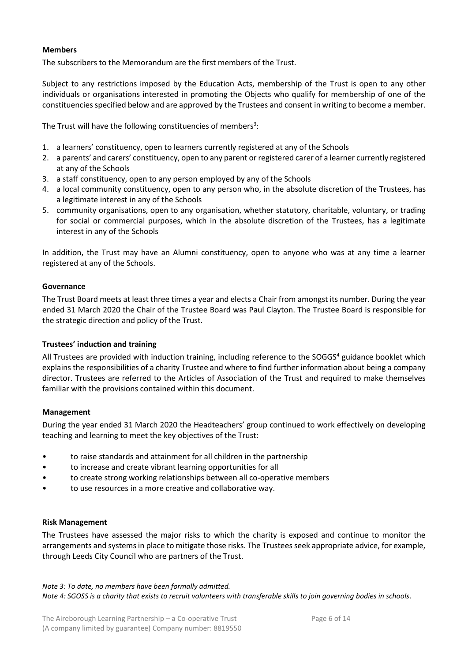#### <span id="page-5-0"></span>**Members**

The subscribers to the Memorandum are the first members of the Trust.

Subject to any restrictions imposed by the Education Acts, membership of the Trust is open to any other individuals or organisations interested in promoting the Objects who qualify for membership of one of the constituencies specified below and are approved by the Trustees and consent in writing to become a member.

The Trust will have the following constituencies of members<sup>3</sup>:

- 1. a learners' constituency, open to learners currently registered at any of the Schools
- 2. a parents' and carers' constituency, open to any parent or registered carer of a learner currently registered at any of the Schools
- 3. a staff constituency, open to any person employed by any of the Schools
- 4. a local community constituency, open to any person who, in the absolute discretion of the Trustees, has a legitimate interest in any of the Schools
- 5. community organisations, open to any organisation, whether statutory, charitable, voluntary, or trading for social or commercial purposes, which in the absolute discretion of the Trustees, has a legitimate interest in any of the Schools

In addition, the Trust may have an Alumni constituency, open to anyone who was at any time a learner registered at any of the Schools.

#### <span id="page-5-1"></span>**Governance**

The Trust Board meets at least three times a year and elects a Chair from amongst its number. During the year ended 31 March 2020 the Chair of the Trustee Board was Paul Clayton. The Trustee Board is responsible for the strategic direction and policy of the Trust.

#### <span id="page-5-2"></span>**Trustees' induction and training**

All Trustees are provided with induction training, including reference to the SOGGS<sup>4</sup> guidance booklet which explains the responsibilities of a charity Trustee and where to find further information about being a company director. Trustees are referred to the Articles of Association of the Trust and required to make themselves familiar with the provisions contained within this document.

#### <span id="page-5-3"></span>**Management**

During the year ended 31 March 2020 the Headteachers' group continued to work effectively on developing teaching and learning to meet the key objectives of the Trust:

- to raise standards and attainment for all children in the partnership
- to increase and create vibrant learning opportunities for all
- to create strong working relationships between all co-operative members
- to use resources in a more creative and collaborative way.

#### <span id="page-5-4"></span>**Risk Management**

The Trustees have assessed the major risks to which the charity is exposed and continue to monitor the arrangements and systems in place to mitigate those risks. The Trustees seek appropriate advice, for example, through Leeds City Council who are partners of the Trust.

*Note 3: To date, no members have been formally admitted. Note 4: SGOSS is a charity that exists to recruit volunteers with transferable skills to join governing bodies in schools.*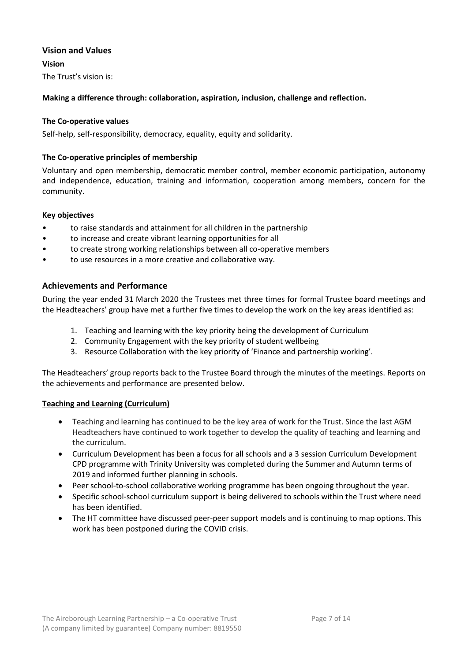#### <span id="page-6-0"></span>**Vision and Values**

<span id="page-6-1"></span>**Vision** The Trust's vision is:

**Making a difference through: collaboration, aspiration, inclusion, challenge and reflection.**

#### <span id="page-6-2"></span>**The Co-operative values**

Self-help, self-responsibility, democracy, equality, equity and solidarity.

#### <span id="page-6-3"></span>**The Co-operative principles of membership**

Voluntary and open membership, democratic member control, member economic participation, autonomy and independence, education, training and information, cooperation among members, concern for the community.

#### <span id="page-6-4"></span>**Key objectives**

- to raise standards and attainment for all children in the partnership
- to increase and create vibrant learning opportunities for all
- to create strong working relationships between all co-operative members
- to use resources in a more creative and collaborative way.

#### <span id="page-6-5"></span>**Achievements and Performance**

During the year ended 31 March 2020 the Trustees met three times for formal Trustee board meetings and the Headteachers' group have met a further five times to develop the work on the key areas identified as:

- 1. Teaching and learning with the key priority being the development of Curriculum
- 2. Community Engagement with the key priority of student wellbeing
- 3. Resource Collaboration with the key priority of 'Finance and partnership working'.

The Headteachers' group reports back to the Trustee Board through the minutes of the meetings. Reports on the achievements and performance are presented below.

#### **Teaching and Learning (Curriculum)**

- Teaching and learning has continued to be the key area of work for the Trust. Since the last AGM Headteachers have continued to work together to develop the quality of teaching and learning and the curriculum.
- Curriculum Development has been a focus for all schools and a 3 session Curriculum Development CPD programme with Trinity University was completed during the Summer and Autumn terms of 2019 and informed further planning in schools.
- Peer school-to-school collaborative working programme has been ongoing throughout the year.
- Specific school-school curriculum support is being delivered to schools within the Trust where need has been identified.
- The HT committee have discussed peer-peer support models and is continuing to map options. This work has been postponed during the COVID crisis.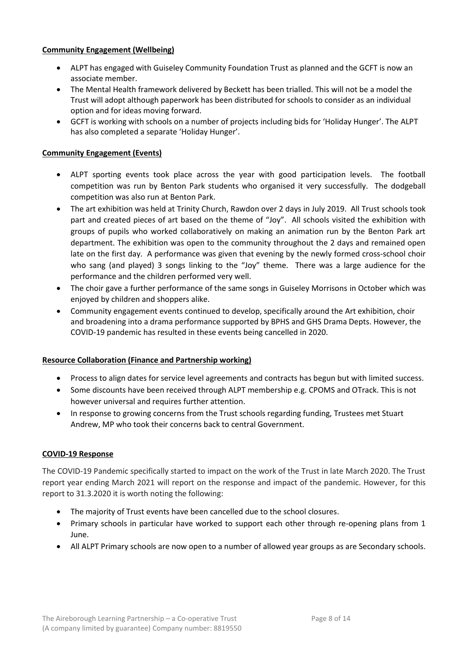#### **Community Engagement (Wellbeing)**

- ALPT has engaged with Guiseley Community Foundation Trust as planned and the GCFT is now an associate member.
- The Mental Health framework delivered by Beckett has been trialled. This will not be a model the Trust will adopt although paperwork has been distributed for schools to consider as an individual option and for ideas moving forward.
- GCFT is working with schools on a number of projects including bids for 'Holiday Hunger'. The ALPT has also completed a separate 'Holiday Hunger'.

#### **Community Engagement (Events)**

- ALPT sporting events took place across the year with good participation levels. The football competition was run by Benton Park students who organised it very successfully. The dodgeball competition was also run at Benton Park.
- The art exhibition was held at Trinity Church, Rawdon over 2 days in July 2019. All Trust schools took part and created pieces of art based on the theme of "Joy". All schools visited the exhibition with groups of pupils who worked collaboratively on making an animation run by the Benton Park art department. The exhibition was open to the community throughout the 2 days and remained open late on the first day. A performance was given that evening by the newly formed cross-school choir who sang (and played) 3 songs linking to the "Joy" theme. There was a large audience for the performance and the children performed very well.
- The choir gave a further performance of the same songs in Guiseley Morrisons in October which was enjoyed by children and shoppers alike.
- Community engagement events continued to develop, specifically around the Art exhibition, choir and broadening into a drama performance supported by BPHS and GHS Drama Depts. However, the COVID-19 pandemic has resulted in these events being cancelled in 2020.

#### **Resource Collaboration (Finance and Partnership working)**

- Process to align dates for service level agreements and contracts has begun but with limited success.
- Some discounts have been received through ALPT membership e.g. CPOMS and OTrack. This is not however universal and requires further attention.
- In response to growing concerns from the Trust schools regarding funding, Trustees met Stuart Andrew, MP who took their concerns back to central Government.

#### **COVID-19 Response**

The COVID-19 Pandemic specifically started to impact on the work of the Trust in late March 2020. The Trust report year ending March 2021 will report on the response and impact of the pandemic. However, for this report to 31.3.2020 it is worth noting the following:

- The majority of Trust events have been cancelled due to the school closures.
- Primary schools in particular have worked to support each other through re-opening plans from 1 June.
- <span id="page-7-0"></span>• All ALPT Primary schools are now open to a number of allowed year groups as are Secondary schools.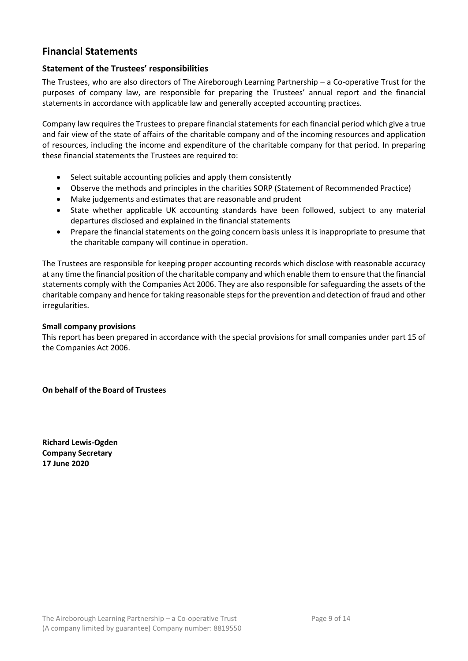### **Financial Statements**

#### <span id="page-8-0"></span>**Statement of the Trustees' responsibilities**

The Trustees, who are also directors of The Aireborough Learning Partnership – a Co-operative Trust for the purposes of company law, are responsible for preparing the Trustees' annual report and the financial statements in accordance with applicable law and generally accepted accounting practices.

Company law requires the Trustees to prepare financial statements for each financial period which give a true and fair view of the state of affairs of the charitable company and of the incoming resources and application of resources, including the income and expenditure of the charitable company for that period. In preparing these financial statements the Trustees are required to:

- Select suitable accounting policies and apply them consistently
- Observe the methods and principles in the charities SORP (Statement of Recommended Practice)
- Make judgements and estimates that are reasonable and prudent
- State whether applicable UK accounting standards have been followed, subject to any material departures disclosed and explained in the financial statements
- Prepare the financial statements on the going concern basis unless it is inappropriate to presume that the charitable company will continue in operation.

The Trustees are responsible for keeping proper accounting records which disclose with reasonable accuracy at any time the financial position of the charitable company and which enable them to ensure that the financial statements comply with the Companies Act 2006. They are also responsible for safeguarding the assets of the charitable company and hence for taking reasonable steps for the prevention and detection of fraud and other irregularities.

#### **Small company provisions**

This report has been prepared in accordance with the special provisions for small companies under part 15 of the Companies Act 2006.

**On behalf of the Board of Trustees**

**Richard Lewis-Ogden Company Secretary 17 June 2020**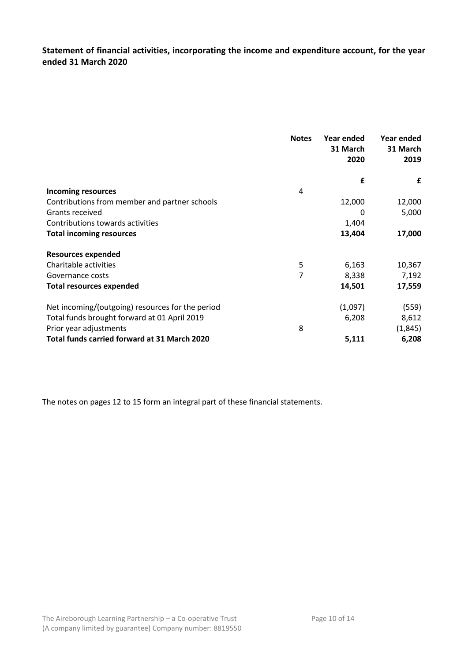<span id="page-9-0"></span>**Statement of financial activities, incorporating the income and expenditure account, for the year ended 31 March 2020**

|                                                  | <b>Notes</b> | Year ended<br>31 March<br>2020 | Year ended<br>31 March<br>2019 |
|--------------------------------------------------|--------------|--------------------------------|--------------------------------|
|                                                  |              | £                              | £                              |
| <b>Incoming resources</b>                        | 4            |                                |                                |
| Contributions from member and partner schools    |              | 12,000                         | 12,000                         |
| Grants received                                  |              | 0                              | 5,000                          |
| Contributions towards activities                 |              | 1,404                          |                                |
| <b>Total incoming resources</b>                  |              | 13,404                         | 17,000                         |
| <b>Resources expended</b>                        |              |                                |                                |
| Charitable activities                            | 5            | 6,163                          | 10,367                         |
| Governance costs                                 | 7            | 8,338                          | 7,192                          |
| <b>Total resources expended</b>                  |              | 14,501                         | 17,559                         |
| Net incoming/(outgoing) resources for the period |              | (1,097)                        | (559)                          |
| Total funds brought forward at 01 April 2019     |              | 6,208                          | 8,612                          |
| Prior year adjustments                           | 8            |                                | (1, 845)                       |
| Total funds carried forward at 31 March 2020     |              | 5,111                          | 6,208                          |

The notes on pages 12 to 15 form an integral part of these financial statements.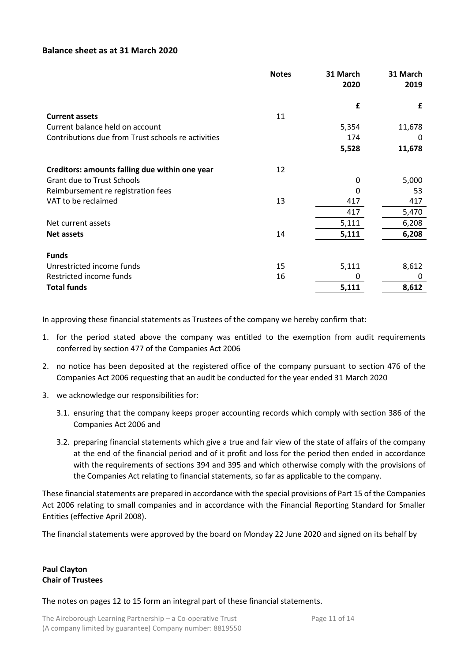#### <span id="page-10-0"></span>**Balance sheet as at 31 March 2020**

|                                                    | <b>Notes</b> | 31 March | 31 March |
|----------------------------------------------------|--------------|----------|----------|
|                                                    |              | 2020     | 2019     |
|                                                    |              | £        | £        |
| <b>Current assets</b>                              | 11           |          |          |
| Current balance held on account                    |              | 5,354    | 11,678   |
| Contributions due from Trust schools re activities |              | 174      | 0        |
|                                                    |              | 5,528    | 11,678   |
| Creditors: amounts falling due within one year     | 12           |          |          |
| <b>Grant due to Trust Schools</b>                  |              | 0        | 5,000    |
| Reimbursement re registration fees                 |              | 0        | 53       |
| VAT to be reclaimed                                | 13           | 417      | 417      |
|                                                    |              | 417      | 5,470    |
| Net current assets                                 |              | 5,111    | 6,208    |
| <b>Net assets</b>                                  | 14           | 5,111    | 6,208    |
| <b>Funds</b>                                       |              |          |          |
| Unrestricted income funds                          | 15           | 5,111    | 8,612    |
| Restricted income funds                            | 16           | 0        | 0        |
| <b>Total funds</b>                                 |              | 5,111    | 8,612    |
|                                                    |              |          |          |

In approving these financial statements as Trustees of the company we hereby confirm that:

- 1. for the period stated above the company was entitled to the exemption from audit requirements conferred by section 477 of the Companies Act 2006
- 2. no notice has been deposited at the registered office of the company pursuant to section 476 of the Companies Act 2006 requesting that an audit be conducted for the year ended 31 March 2020
- 3. we acknowledge our responsibilities for:
	- 3.1. ensuring that the company keeps proper accounting records which comply with section 386 of the Companies Act 2006 and
	- 3.2. preparing financial statements which give a true and fair view of the state of affairs of the company at the end of the financial period and of it profit and loss for the period then ended in accordance with the requirements of sections 394 and 395 and which otherwise comply with the provisions of the Companies Act relating to financial statements, so far as applicable to the company.

These financial statements are prepared in accordance with the special provisions of Part 15 of the Companies Act 2006 relating to small companies and in accordance with the Financial Reporting Standard for Smaller Entities (effective April 2008).

The financial statements were approved by the board on Monday 22 June 2020 and signed on its behalf by

#### **Paul Clayton Chair of Trustees**

The notes on pages 12 to 15 form an integral part of these financial statements.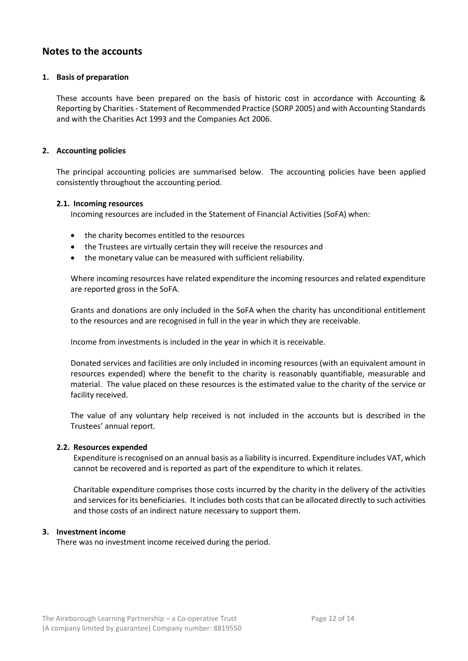### <span id="page-11-0"></span>**Notes to the accounts**

#### **1. Basis of preparation**

These accounts have been prepared on the basis of historic cost in accordance with Accounting & Reporting by Charities - Statement of Recommended Practice (SORP 2005) and with Accounting Standards and with the Charities Act 1993 and the Companies Act 2006.

#### **2. Accounting policies**

The principal accounting policies are summarised below. The accounting policies have been applied consistently throughout the accounting period.

#### **2.1. Incoming resources**

Incoming resources are included in the Statement of Financial Activities (SoFA) when:

- the charity becomes entitled to the resources
- the Trustees are virtually certain they will receive the resources and
- the monetary value can be measured with sufficient reliability.

Where incoming resources have related expenditure the incoming resources and related expenditure are reported gross in the SoFA.

Grants and donations are only included in the SoFA when the charity has unconditional entitlement to the resources and are recognised in full in the year in which they are receivable.

Income from investments is included in the year in which it is receivable.

Donated services and facilities are only included in incoming resources (with an equivalent amount in resources expended) where the benefit to the charity is reasonably quantifiable, measurable and material. The value placed on these resources is the estimated value to the charity of the service or facility received.

The value of any voluntary help received is not included in the accounts but is described in the Trustees' annual report.

#### **2.2. Resources expended**

Expenditure is recognised on an annual basis as a liability is incurred. Expenditure includes VAT, which cannot be recovered and is reported as part of the expenditure to which it relates.

Charitable expenditure comprises those costs incurred by the charity in the delivery of the activities and services for its beneficiaries. It includes both costs that can be allocated directly to such activities and those costs of an indirect nature necessary to support them.

#### **3. Investment income**

There was no investment income received during the period.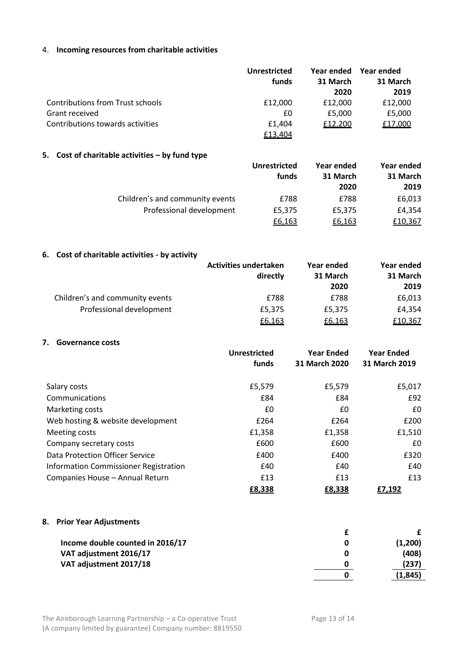#### 4. **Incoming resources from charitable activities**

|                                         | Unrestricted |          | Year ended Year ended |
|-----------------------------------------|--------------|----------|-----------------------|
|                                         | funds        | 31 March | 31 March              |
|                                         |              | 2020     | 2019                  |
| <b>Contributions from Trust schools</b> | £12,000      | £12,000  | £12,000               |
| Grant received                          | £0           | £5,000   | £5,000                |
| Contributions towards activities        | £1.404       | £12,200  | £17,000               |
|                                         | £13,404      |          |                       |

#### **5. Cost of charitable activities – by fund type**

|                                 | Unrestricted | Year ended | Year ended |
|---------------------------------|--------------|------------|------------|
|                                 | funds        | 31 March   | 31 March   |
|                                 |              | 2020       | 2019       |
| Children's and community events | £788         | £788       | £6,013     |
| Professional development        | £5,375       | £5,375     | £4,354     |
|                                 | £6,163       | £6,163     | £10,367    |

#### **6. Cost of charitable activities - by activity**

|                                 | <b>Activities undertaken</b> | Year ended | Year ended |
|---------------------------------|------------------------------|------------|------------|
|                                 | directly                     | 31 March   | 31 March   |
|                                 |                              | 2020       | 2019       |
| Children's and community events | £788                         | £788       | £6,013     |
| Professional development        | £5,375                       | £5.375     | £4.354     |
|                                 | £6,163                       | £6,163     | £10,367    |

#### **7. Governance costs**

|                                       | <b>Unrestricted</b><br>funds | <b>Year Ended</b><br>31 March 2020 | <b>Year Ended</b><br>31 March 2019 |
|---------------------------------------|------------------------------|------------------------------------|------------------------------------|
| Salary costs                          | £5,579                       | £5,579                             | £5,017                             |
| Communications                        | £84                          | £84                                | £92                                |
| Marketing costs                       | £0                           | £0                                 | £0                                 |
| Web hosting & website development     | £264                         | £264                               | £200                               |
| Meeting costs                         | £1,358                       | £1,358                             | £1,510                             |
| Company secretary costs               | £600                         | £600                               | £0                                 |
| Data Protection Officer Service       | £400                         | £400                               | £320                               |
| Information Commissioner Registration | £40                          | £40                                | £40                                |
| Companies House - Annual Return       | £13                          | £13                                | £13                                |
|                                       | £8,338                       | £8,338                             | £7,192                             |

#### **8. Prior Year Adjustments**

| Income double counted in 2016/17 | (1,200) |
|----------------------------------|---------|
| VAT adjustment 2016/17           | (408)   |
| VAT adjustment 2017/18           | (237)   |
|                                  | (1,845) |